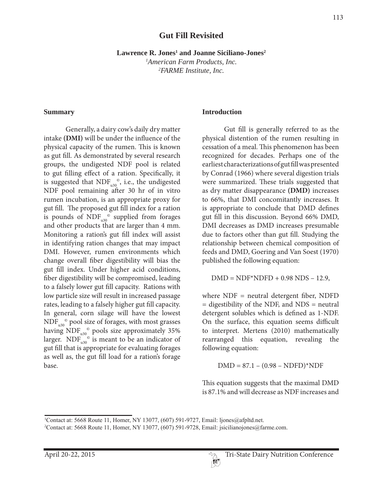### **Gut Fill Revisited**

Lawrence R. Jones<sup>1</sup> and Joanne Siciliano-Jones<sup>2</sup>

*1 American Farm Products, Inc. 2 FARME Institute, Inc.*

#### **Summary**

 Generally, a dairy cow's daily dry matter intake **(DMI)** will be under the influence of the physical capacity of the rumen. This is known as gut fill. As demonstrated by several research groups, the undigested NDF pool is related to gut filling effect of a ration. Specifically, it is suggested that  $\text{NDF}_{u30}^{\circ}$ , i.e., the undigested NDF pool remaining after 30 hr of in vitro rumen incubation, is an appropriate proxy for gut fill. The proposed gut fill index for a ration is pounds of  $\text{NDF}_{u30}^{\circ}$  supplied from forages and other products that are larger than 4 mm. Monitoring a ration's gut fill index will assist in identifying ration changes that may impact DMI. However, rumen environments which change overall fiber digestibility will bias the gut fill index. Under higher acid conditions, fiber digestibility will be compromised, leading to a falsely lower gut fill capacity. Rations with low particle size will result in increased passage rates, leading to a falsely higher gut fill capacity. In general, corn silage will have the lowest  $\text{NDF}_{\text{u30}}^{\bullet}$  pool size of forages, with most grasses having  $NDF_{u30}^{\circ}$  pools size approximately 35% larger.  $NDF_{u30}^{\circ}$  is meant to be an indicator of gut fill that is appropriate for evaluating forages as well as, the gut fill load for a ration's forage base.

#### **Introduction**

 Gut fill is generally referred to as the physical distention of the rumen resulting in cessation of a meal. This phenomenon has been recognized for decades. Perhaps one of the earliest characterizations of gut fill was presented by Conrad (1966) where several digestion trials were summarized. These trials suggested that as dry matter disappearance **(DMD)** increases to 66%, that DMI concomitantly increases. It is appropriate to conclude that DMD defines gut fill in this discussion. Beyond 66% DMD, DMI decreases as DMD increases presumable due to factors other than gut fill. Studying the relationship between chemical composition of feeds and DMD, Goering and Van Soest (1970) published the following equation:

 $DMD = NDF*NDFD + 0.98 NDS - 12.9$ 

where NDF = neutral detergent fiber, NDFD = digestibility of the NDF, and NDS = neutral detergent solubles which is defined as 1-NDF. On the surface, this equation seems difficult to interpret. Mertens (2010) mathematically rearranged this equation, revealing the following equation:

 $DMD = 87.1 - (0.98 - NDFD)*NDF$ 

This equation suggests that the maximal DMD is 87.1% and will decrease as NDF increases and

<sup>&</sup>lt;sup>1</sup>Contact at: 5668 Route 11, Homer, NY 13077, (607) 591-9727, Email: ljones@afpltd.net.

 $2$ Contact at: 5668 Route 11, Homer, NY 13077, (607) 591-9728, Email: jsicilianojones@farme.com.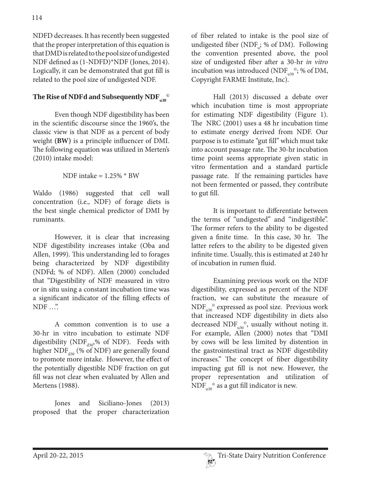NDFD decreases. It has recently been suggested that the proper interpretation of this equation is that DMD is related to the pool size of undigested NDF defined as (1-NDFD)\*NDF (Jones, 2014). Logically, it can be demonstrated that gut fill is related to the pool size of undigested NDF.

## The Rise of NDFd and Subsequently  $\text{NDF}_{\mathbf{u30}}^\circ$

 Even though NDF digestibility has been in the scientific discourse since the 1960's, the classic view is that NDF as a percent of body weight **(BW)** is a principle influencer of DMI. The following equation was utilized in Merten's (2010) intake model:

#### NDF intake  $= 1.25\%$  \* BW

Waldo (1986) suggested that cell wall concentration (i.e., NDF) of forage diets is the best single chemical predictor of DMI by ruminants.

 However, it is clear that increasing NDF digestibility increases intake (Oba and Allen, 1999). This understanding led to forages being characterized by NDF digestibility (NDFd; % of NDF). Allen (2000) concluded that "Digestibility of NDF measured in vitro or in situ using a constant incubation time was a significant indicator of the filling effects of NDF …".

 A common convention is to use a 30-hr in vitro incubation to estimate NDF digestibility (NDF $_{d30}$ % of NDF). Feeds with higher  $NDF_{d30}$  (% of NDF) are generally found to promote more intake. However, the effect of the potentially digestible NDF fraction on gut fill was not clear when evaluated by Allen and Mertens (1988).

 Jones and Siciliano-Jones (2013) proposed that the proper characterization of fiber related to intake is the pool size of undigested fiber ( $NDF_u$ ; % of DM). Following the convention presented above, the pool size of undigested fiber after a 30-hr in vitro incubation was introduced (NDF $_{u30}^{\circ}$ ; % of DM, Copyright FARME Institute, Inc).

 Hall (2013) discussed a debate over which incubation time is most appropriate for estimating NDF digestibility (Figure 1). The NRC (2001) uses a 48 hr incubation time to estimate energy derived from NDF. Our purpose is to estimate "gut fill" which must take into account passage rate. The 30-hr incubation time point seems appropriate given static in vitro fermentation and a standard particle passage rate. If the remaining particles have not been fermented or passed, they contribute to gut fill.

 It is important to differentiate between the terms of "undigested" and "indigestible". The former refers to the ability to be digested given a finite time. In this case, 30 hr. The latter refers to the ability to be digested given infinite time. Usually, this is estimated at 240 hr of incubation in rumen fluid.

 Examining previous work on the NDF digestibility, expressed as percent of the NDF fraction, we can substitute the measure of  $\text{NDF}_{u30}^{\circ}$  expressed as pool size. Previous work that increased NDF digestibility in diets also decreased NDF $_{u30}^{\circ}$ , usually without noting it. For example, Allen (2000) notes that "DMI by cows will be less limited by distention in the gastrointestinal tract as NDF digestibility increases." The concept of fiber digestibility impacting gut fill is not new. However, the proper representation and utilization of  $\text{NDF}_{u30}^{\circ}$  as a gut fill indicator is new.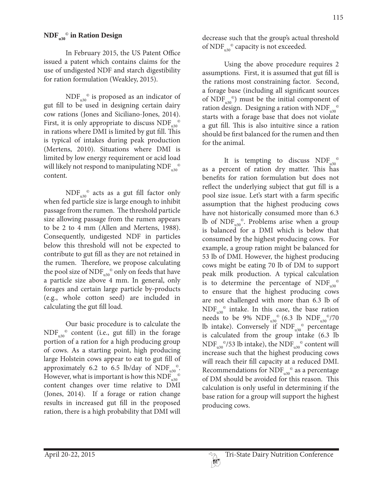## $\text{NDF}_{\mathbf{u30}}^{\circ\circ}$  in Ration Design

 In February 2015, the US Patent Office issued a patent which contains claims for the use of undigested NDF and starch digestibility for ration formulation (Weakley, 2015).

 $NDF_{u30}^{\circ}$  is proposed as an indicator of gut fill to be used in designing certain dairy cow rations (Jones and Siciliano-Jones, 2014). First, it is only appropriate to discuss  $\text{NDF}_{\text{u30}}^{\text{o}}$ in rations where DMI is limited by gut fill. This is typical of intakes during peak production (Mertens, 2010). Situations where DMI is limited by low energy requirement or acid load will likely not respond to manipulating  $\text{NDF}_{_{\text{u30}}}{}^{\!\scriptscriptstyle \odot}$ content.

 $NDF_{u30}^{\circ}$  acts as a gut fill factor only when fed particle size is large enough to inhibit passage from the rumen. The threshold particle size allowing passage from the rumen appears to be 2 to 4 mm (Allen and Mertens, 1988). Consequently, undigested NDF in particles below this threshold will not be expected to contribute to gut fill as they are not retained in the rumen. Therefore, we propose calculating the pool size of  $\text{NDF}_{\text{u30}}^{\text{o}}$  only on feeds that have a particle size above 4 mm. In general, only forages and certain large particle by-products (e.g., whole cotton seed) are included in calculating the gut fill load.

 Our basic procedure is to calculate the  $NDF_{u30}^{\circ}$  content (i.e., gut fill) in the forage portion of a ration for a high producing group of cows. As a starting point, high producing large Holstein cows appear to eat to gut fill of approximately 6.2 to 6.5 lb/day of  $NDF_{u30}^{\circ}$ . However, what is important is how this NDF $_{130}$ <sup>e</sup> © content changes over time relative to DMI (Jones, 2014). If a forage or ration change results in increased gut fill in the proposed ration, there is a high probability that DMI will

decrease such that the group's actual threshold of  $\text{NDF}_{u30}^{\circ}$  capacity is not exceeded.

 Using the above procedure requires 2 assumptions. First, it is assumed that gut fill is the rations most constraining factor. Second, a forage base (including all significant sources of  $NDF_{u30}^{\circ}$  must be the initial component of ration design. Designing a ration with  $\text{NDF}_{\mathfrak{u}30}^{\mathbb{O}}$ starts with a forage base that does not violate a gut fill. This is also intuitive since a ration should be first balanced for the rumen and then for the animal.

It is tempting to discuss  $NDF_{u30}^{\circ}$ as a percent of ration dry matter. This has benefits for ration formulation but does not reflect the underlying subject that gut fill is a pool size issue. Let's start with a farm specific assumption that the highest producing cows have not historically consumed more than 6.3 lb of  $\text{NDF}_{u30}^{\circ}$ . Problems arise when a group is balanced for a DMI which is below that consumed by the highest producing cows. For example, a group ration might be balanced for 53 lb of DMI. However, the highest producing cows might be eating 70 lb of DM to support peak milk production. A typical calculation is to determine the percentage of  $\text{NDF}_{u30}^{\circ}$ to ensure that the highest producing cows are not challenged with more than 6.3 lb of  $NDF_{u30}^{\circ}$  intake. In this case, the base ration needs to be 9%  $NDF_{u30}^{\circ}$  (6.3 lb  $NDF_{u30}^{\circ}$ /70 lb intake). Conversely if  $NDF_{u30}^{\circ}$  percentage is calculated from the group intake (6.3 lb  $\text{NDF}_{u30}^{\circ}$ %/53 lb intake), the  $\text{NDF}_{u30}^{\circ}$  content will increase such that the highest producing cows will reach their fill capacity at a reduced DMI. Recommendations for  $NDF_{u30}^{\circ}$  as a percentage of DM should be avoided for this reason. This calculation is only useful in determining if the base ration for a group will support the highest producing cows.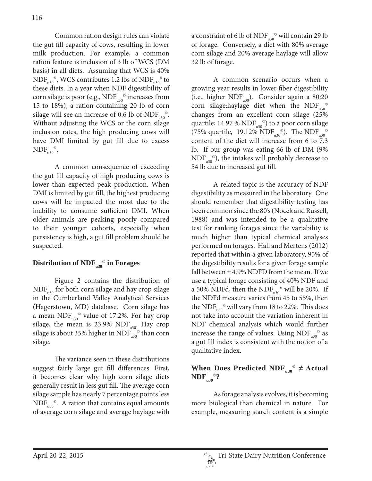Common ration design rules can violate the gut fill capacity of cows, resulting in lower milk production. For example, a common ration feature is inclusion of 3 lb of WCS (DM basis) in all diets. Assuming that WCS is 40%  $\text{NDF}_{u30}^{\circ\circ}$ , WCS contributes 1.2 lbs of  $\text{NDF}_{u30}^{\circ\circ}$  to these diets. In a year when NDF digestibility of corn silage is poor (e.g.,  $\text{NDF}_{\text{u30}}^{\text{o}}$  increases from 15 to 18%), a ration containing 20 lb of corn silage will see an increase of 0.6 lb of  $\text{NDF}_{u30}^{\circ\circ}$ . Without adjusting the WCS or the corn silage inclusion rates, the high producing cows will have DMI limited by gut fill due to excess  $\text{NDF}_{u30}^{\circ\circ}$ .

 A common consequence of exceeding the gut fill capacity of high producing cows is lower than expected peak production. When DMI is limited by gut fill, the highest producing cows will be impacted the most due to the inability to consume sufficient DMI. When older animals are peaking poorly compared to their younger cohorts, especially when persistency is high, a gut fill problem should be suspected.

# $\mathbf{Distribution}$  of  $\mathbf{NDF}_{\mathbf{u30}}^{\mathbf{\odot}}$  in Forages

 Figure 2 contains the distribution of  $NDF<sub>n30</sub>$  for both corn silage and hay crop silage in the Cumberland Valley Analytical Services (Hagerstown, MD) database. Corn silage has a mean  $\text{NDF}_{u30}^{\circ}$  value of 17.2%. For hay crop silage, the mean is 23.9%  $NDF_{u30}$ . Hay crop silage is about 35% higher in  $\text{NDF}_{\text{u30}}^{\text{}}{}^{\text{\textregistered}}$  than corn silage.

 The variance seen in these distributions suggest fairly large gut fill differences. First, it becomes clear why high corn silage diets generally result in less gut fill. The average corn silage sample has nearly 7 percentage points less  $\text{NDF}_{u30}^{\circ}$  . A ration that contains equal amounts of average corn silage and average haylage with

a constraint of 6 lb of  $\text{NDF}_{\text{u30}}^{\text{o}}$  will contain 29 lb of forage. Conversely, a diet with 80% average corn silage and 20% average haylage will allow 32 lb of forage.

 A common scenario occurs when a growing year results in lower fiber digestibility (i.e., higher  $NDF_{130}$ ). Consider again a 80:20 corn silage:haylage diet when the  $\text{NDF}_{u30}^{\circ}$ changes from an excellent corn silage (25% quartile; 14.97 %  $\text{NDF}_{\text{u30}}^{\text{o}}$ ) to a poor corn silage (75% quartile, 19.12%  $NDF_{u30}^{\circ}$ ). The  $NDF_{u30}^{\circ}$ content of the diet will increase from 6 to 7.3 lb. If our group was eating 66 lb of DM (9%  $\text{NDF}_{u30}^{\circ}$ , the intakes will probably decrease to 54 lb due to increased gut fill.

 A related topic is the accuracy of NDF digestibility as measured in the laboratory. One should remember that digestibility testing has been common since the 80's (Nocek and Russell, 1988) and was intended to be a qualitative test for ranking forages since the variability is much higher than typical chemical analyses performed on forages. Hall and Mertens (2012) reported that within a given laboratory, 95% of the digestibility results for a given forage sample fall between  $\pm$  4.9% NDFD from the mean. If we use a typical forage consisting of 40% NDF and a 50% NDFd, then the  $NDF_{u30}^{\circ}$  will be 20%. If the NDFd measure varies from 45 to 55%, then the  $\text{NDF}_{u30}^{\circ}$  will vary from 18 to 22%. This does not take into account the variation inherent in NDF chemical analysis which would further increase the range of values. Using  $\text{NDF}_{u30}^{\circ}$  as a gut fill index is consistent with the notion of a qualitative index.

## When Does Predicted  $NDF_{u30}^{\circ} \neq$  Actual  $\text{NDF}_{u30}$ <sup>©</sup>?

 As forage analysis evolves, it is becoming more biological than chemical in nature. For example, measuring starch content is a simple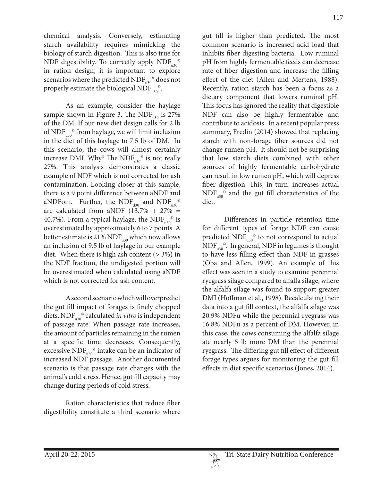chemical analysis. Conversely, estimating starch availability requires mimicking the biology of starch digestion. This is also true for NDF digestibility. To correctly apply  $\text{NDF}_{\mathfrak{u}30}^{\circ}$ in ration design, it is important to explore scenarios where the predicted  $\text{NDF}_{\text{u30}}^{\text{\textregistered}}$  does not properly estimate the biological NDF $_{u30}^{\circ}$ .

 As an example, consider the haylage sample shown in Figure 3. The NDF<sub>130</sub> is 27% of the DM. If our new diet design calls for 2 lb of NDF $_{u30}$ <sup>®</sup> from haylage, we will limit inclusion in the diet of this haylage to 7.5 lb of DM. In this scenario, the cows will almost certainly increase DMI. Why? The  $\text{NDF}_{u30}^{\circ}$  is not really 27%. This analysis demonstrates a classic example of NDF which is not corrected for ash contamination. Looking closer at this sample, there is a 9 point difference between aNDF and aNDFom. Further, the  $NDF_{d30}$  and  $NDF_{u30}$ <sup>©</sup> are calculated from aNDF  $(13.7\% + 27\% =$ 40.7%). From a typical haylage, the  $\text{NDF}_{u30}^{\circ}$  is overestimated by approximately 6 to 7 points. A better estimate is 21%  $NDF_{130}$  which now allows an inclusion of 9.5 lb of haylage in our example diet. When there is high ash content  $($  > 3%) in the NDF fraction, the undigested portion will be overestimated when calculated using aNDF which is not corrected for ash content.

 A second scenario which will overpredict the gut fill impact of forages is finely chopped diets.  $\text{NDF}_{u30}$ <sup>®</sup> calculated *in vitro* is independent of passage rate. When passage rate increases, the amount of particles remaining in the rumen at a specific time decreases. Consequently, excessive  $\text{NDF}_{u30}^{\circ}$  intake can be an indicator of increased NDF passage. Another documented scenario is that passage rate changes with the animal's cold stress. Hence, gut fill capacity may change during periods of cold stress.

 Ration characteristics that reduce fiber digestibility constitute a third scenario where gut fill is higher than predicted. The most common scenario is increased acid load that inhibits fiber digesting bacteria. Low ruminal pH from highly fermentable feeds can decrease rate of fiber digestion and increase the filling effect of the diet (Allen and Mertens, 1988). Recently, ration starch has been a focus as a dietary component that lowers ruminal pH. This focus has ignored the reality that digestible NDF can also be highly fermentable and contribute to acidosis. In a recent popular press summary, Fredin (2014) showed that replacing starch with non-forage fiber sources did not change rumen pH. It should not be surprising that low starch diets combined with other sources of highly fermentable carbohydrate can result in low rumen pH, which will depress fiber digestion. This, in turn, increases actual  $NDF_{u30}^{\circ}$  and the gut fill characteristics of the diet.

 Differences in particle retention time for different types of forage NDF can cause predicted  $\text{NDF}_{u30}^{\circ\circ}$  to not correspond to actual  $\text{NDF}_{\text{u30}}^\text{\textcirc}$ . In general, NDF in legumes is thought to have less filling effect than NDF in grasses (Oba and Allen, 1999). An example of this effect was seen in a study to examine perennial ryegrass silage compared to alfalfa silage, where the alfalfa silage was found to support greater DMI (Hoffman et al., 1998). Recalculating their data into a gut fill context, the alfalfa silage was 20.9% NDFu while the perennial ryegrass was 16.8% NDFu as a percent of DM. However, in this case, the cows consuming the alfalfa silage ate nearly 5 lb more DM than the perennial ryegrass. The differing gut fill effect of different forage types argues for monitoring the gut fill effects in diet specific scenarios (Jones, 2014).

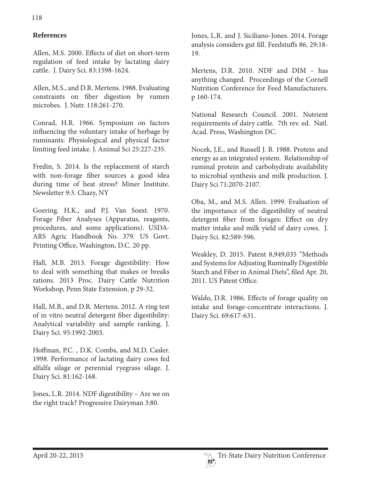### **References**

Allen, M.S. 2000. Effects of diet on short-term regulation of feed intake by lactating dairy cattle. J. Dairy Sci. 83:1598-1624.

Allen, M.S., and D.R. Mertens. 1988. Evaluating constraints on fiber digestion by rumen microbes. J. Nutr. 118:261-270.

Conrad, H.R. 1966. Symposium on factors influencing the voluntary intake of herbage by ruminants: Physiological and physical factor limiting feed intake. J. Animal Sci 25:227-235.

Fredin, S. 2014. Is the replacement of starch with non-forage fiber sources a good idea during time of heat stress? Miner Institute. Newsletter 9:3. Chazy, NY

Goering. H.K., and P.J. Van Soest. 1970. Forage Fiber Analyses (Apparatus, reagents, procedures, and some applications). USDA-ARS Agric Handbook No. 379. US Govt. Printing Office, Washington, D.C. 20 pp.

Hall, M.B. 2013. Forage digestibility: How to deal with something that makes or breaks rations. 2013 Proc. Dairy Cattle Nutrition Workshop, Penn State Extension. p 29-32.

Hall, M.B., and D.R. Mertens. 2012. A ring test of in vitro neutral detergent fiber digestibility: Analytical variability and sample ranking. J. Dairy Sci. 95:1992-2003.

Hoffman, P.C. , D.K. Combs, and M.D. Casler. 1998. Performance of lactating dairy cows fed alfalfa silage or perennial ryegrass silage. J. Dairy Sci. 81:162-168.

Jones, L.R. 2014. NDF digestibility – Are we on the right track? Progressive Dairyman 3:80.

Jones, L.R. and J. Siciliano-Jones. 2014. Forage analysis considers gut fill. Feedstuffs 86, 29:18- 19.

Mertens, D.R. 2010. NDF and DIM – has anything changed. Proceedings of the Cornell Nutrition Conference for Feed Manufacturers. p 160-174.

National Research Council. 2001. Nutrient requirements of dairy cattle. 7th rev. ed. Natl. Acad. Press, Washington DC.

Nocek, J.E., and Russell J. B. 1988. Protein and energy as an integrated system. Relationship of ruminal protein and carbohydrate availability to microbial synthesis and milk production. J. Dairy Sci 71:2070-2107.

Oba, M., and M.S. Allen. 1999. Evaluation of the importance of the digestibility of neutral detergent fiber from forages: Effect on dry matter intake and milk yield of dairy cows. J. Dairy Sci. 82:589-596.

Weakley, D. 2015. Patent 8,949,035 "Methods and Systems for Adjusting Ruminally Digestible Starch and Fiber in Animal Diets", filed Apr. 20, 2011. US Patent Office.

Waldo, D.R. 1986. Effects of forage quality on intake and forage-concentrate interactions. J. Dairy Sci. 69:617-631.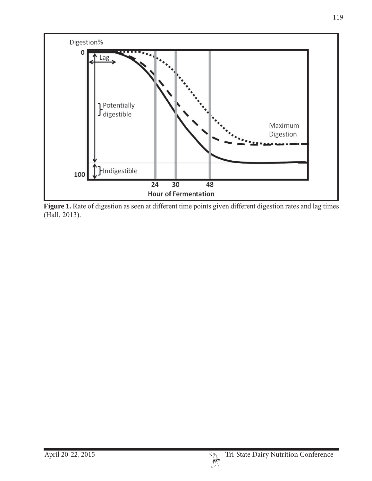

Figure 1. Rate of digestion as seen at different time points given different digestion rates and lag times (Hall, 2013).